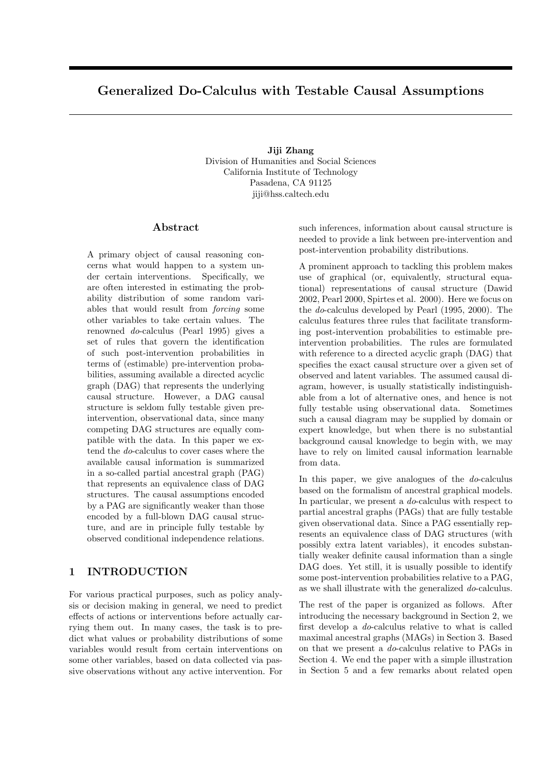# Generalized Do-Calculus with Testable Causal Assumptions

Jiji Zhang Division of Humanities and Social Sciences California Institute of Technology Pasadena, CA 91125 jiji@hss.caltech.edu

### Abstract

A primary object of causal reasoning concerns what would happen to a system under certain interventions. Specifically, we are often interested in estimating the probability distribution of some random variables that would result from forcing some other variables to take certain values. The renowned do-calculus (Pearl 1995) gives a set of rules that govern the identification of such post-intervention probabilities in terms of (estimable) pre-intervention probabilities, assuming available a directed acyclic graph (DAG) that represents the underlying causal structure. However, a DAG causal structure is seldom fully testable given preintervention, observational data, since many competing DAG structures are equally compatible with the data. In this paper we extend the do-calculus to cover cases where the available causal information is summarized in a so-called partial ancestral graph (PAG) that represents an equivalence class of DAG structures. The causal assumptions encoded by a PAG are significantly weaker than those encoded by a full-blown DAG causal structure, and are in principle fully testable by observed conditional independence relations.

### 1 INTRODUCTION

For various practical purposes, such as policy analysis or decision making in general, we need to predict effects of actions or interventions before actually carrying them out. In many cases, the task is to predict what values or probability distributions of some variables would result from certain interventions on some other variables, based on data collected via passive observations without any active intervention. For such inferences, information about causal structure is needed to provide a link between pre-intervention and post-intervention probability distributions.

A prominent approach to tackling this problem makes use of graphical (or, equivalently, structural equational) representations of causal structure (Dawid 2002, Pearl 2000, Spirtes et al. 2000). Here we focus on the do-calculus developed by Pearl (1995, 2000). The calculus features three rules that facilitate transforming post-intervention probabilities to estimable preintervention probabilities. The rules are formulated with reference to a directed acyclic graph (DAG) that specifies the exact causal structure over a given set of observed and latent variables. The assumed causal diagram, however, is usually statistically indistinguishable from a lot of alternative ones, and hence is not fully testable using observational data. Sometimes such a causal diagram may be supplied by domain or expert knowledge, but when there is no substantial background causal knowledge to begin with, we may have to rely on limited causal information learnable from data.

In this paper, we give analogues of the  $do$ -calculus based on the formalism of ancestral graphical models. In particular, we present a do-calculus with respect to partial ancestral graphs (PAGs) that are fully testable given observational data. Since a PAG essentially represents an equivalence class of DAG structures (with possibly extra latent variables), it encodes substantially weaker definite causal information than a single DAG does. Yet still, it is usually possible to identify some post-intervention probabilities relative to a PAG, as we shall illustrate with the generalized do-calculus.

The rest of the paper is organized as follows. After introducing the necessary background in Section 2, we first develop a do-calculus relative to what is called maximal ancestral graphs (MAGs) in Section 3. Based on that we present a do-calculus relative to PAGs in Section 4. We end the paper with a simple illustration in Section 5 and a few remarks about related open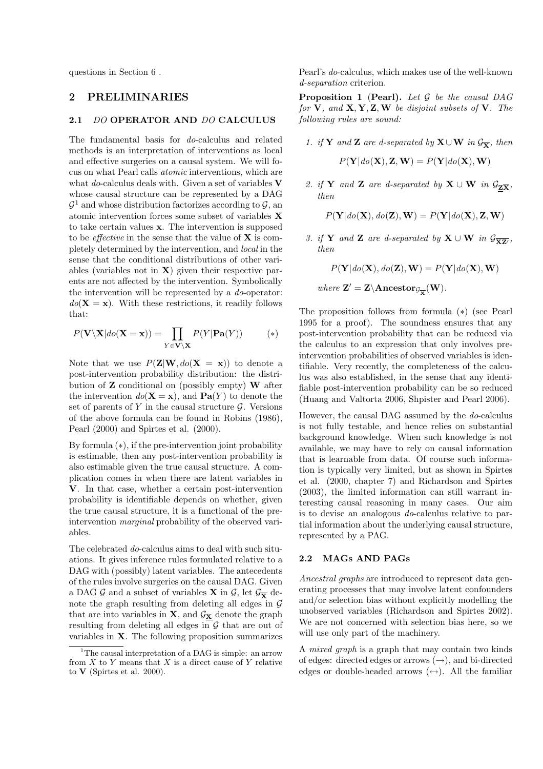questions in Section 6 .

## 2 PRELIMINARIES

#### 2.1 DO OPERATOR AND DO CALCULUS

The fundamental basis for do-calculus and related methods is an interpretation of interventions as local and effective surgeries on a causal system. We will focus on what Pearl calls atomic interventions, which are what do-calculus deals with. Given a set of variables  $V$ whose causal structure can be represented by a DAG  $\mathcal{G}^1$  and whose distribution factorizes according to  $\mathcal{G}$ , and atomic intervention forces some subset of variables X to take certain values x. The intervention is supposed to be *effective* in the sense that the value of  $X$  is completely determined by the intervention, and local in the sense that the conditional distributions of other variables (variables not in  $X$ ) given their respective parents are not affected by the intervention. Symbolically the intervention will be represented by a do-operator:  $do(X = x)$ . With these restrictions, it readily follows that:

$$
P(\mathbf{V} \setminus \mathbf{X} | do(\mathbf{X} = \mathbf{x})) = \prod_{Y \in \mathbf{V} \setminus \mathbf{X}} P(Y | \mathbf{Pa}(Y))
$$
(\*)

Note that we use  $P(\mathbf{Z}|\mathbf{W}, do(\mathbf{X}=\mathbf{x}))$  to denote a post-intervention probability distribution: the distribution of  $Z$  conditional on (possibly empty)  $W$  after the intervention  $do(X = x)$ , and  $Pa(Y)$  to denote the set of parents of Y in the causal structure  $\mathcal G$ . Versions of the above formula can be found in Robins (1986), Pearl (2000) and Spirtes et al. (2000).

By formula (∗), if the pre-intervention joint probability is estimable, then any post-intervention probability is also estimable given the true causal structure. A complication comes in when there are latent variables in V. In that case, whether a certain post-intervention probability is identifiable depends on whether, given the true causal structure, it is a functional of the preintervention marginal probability of the observed variables.

The celebrated do-calculus aims to deal with such situations. It gives inference rules formulated relative to a DAG with (possibly) latent variables. The antecedents of the rules involve surgeries on the causal DAG. Given a DAG G and a subset of variables **X** in G, let  $\mathcal{G}_{\overline{\mathbf{x}}}$  denote the graph resulting from deleting all edges in  $G$ that are into variables in  $X$ , and  $\mathcal{G}_X$  denote the graph resulting from deleting all edges in  $\mathcal G$  that are out of variables in X. The following proposition summarizes

Pearl's do-calculus, which makes use of the well-known d-separation criterion.

**Proposition 1 (Pearl).** Let  $G$  be the causal DAG for  $V$ , and  $X, Y, Z, W$  be disjoint subsets of  $V$ . The following rules are sound:

1. if Y and Z are d-separated by  $X \cup W$  in  $\mathcal{G}_{\overline{X}}$ , then

$$
P(\mathbf{Y} | do(\mathbf{X}), \mathbf{Z}, \mathbf{W}) = P(\mathbf{Y} | do(\mathbf{X}), \mathbf{W})
$$

2. if Y and Z are d-separated by  $X \cup W$  in  $\mathcal{G}_{Z\overline{X}}$ , then

$$
P(\mathbf{Y} | do(\mathbf{X}), do(\mathbf{Z}), \mathbf{W}) = P(\mathbf{Y} | do(\mathbf{X}), \mathbf{Z}, \mathbf{W})
$$

3. if Y and Z are d-separated by  $X \cup W$  in  $\mathcal{G}_{\overline{XZ'}}$ , then

 $P(Y|do(X), do(Z), W) = P(Y|do(X), W)$ 

where  $\mathbf{Z}' = \mathbf{Z} \setminus \mathbf{Ancestor}_{\mathcal{G}_{\overline{\mathbf{X}}}}(\mathbf{W}).$ 

The proposition follows from formula (∗) (see Pearl 1995 for a proof). The soundness ensures that any post-intervention probability that can be reduced via the calculus to an expression that only involves preintervention probabilities of observed variables is identifiable. Very recently, the completeness of the calculus was also established, in the sense that any identifiable post-intervention probability can be so reduced (Huang and Valtorta 2006, Shpister and Pearl 2006).

However, the causal DAG assumed by the do-calculus is not fully testable, and hence relies on substantial background knowledge. When such knowledge is not available, we may have to rely on causal information that is learnable from data. Of course such information is typically very limited, but as shown in Spirtes et al. (2000, chapter 7) and Richardson and Spirtes (2003), the limited information can still warrant interesting causal reasoning in many cases. Our aim is to devise an analogous do-calculus relative to partial information about the underlying causal structure, represented by a PAG.

### 2.2 MAGs AND PAGs

Ancestral graphs are introduced to represent data generating processes that may involve latent confounders and/or selection bias without explicitly modelling the unobserved variables (Richardson and Spirtes 2002). We are not concerned with selection bias here, so we will use only part of the machinery.

A mixed graph is a graph that may contain two kinds of edges: directed edges or arrows  $(\rightarrow)$ , and bi-directed edges or double-headed arrows  $(\leftrightarrow)$ . All the familiar

<sup>&</sup>lt;sup>1</sup>The causal interpretation of a DAG is simple: an arrow from  $X$  to  $Y$  means that  $X$  is a direct cause of  $Y$  relative to  $V$  (Spirtes et al. 2000).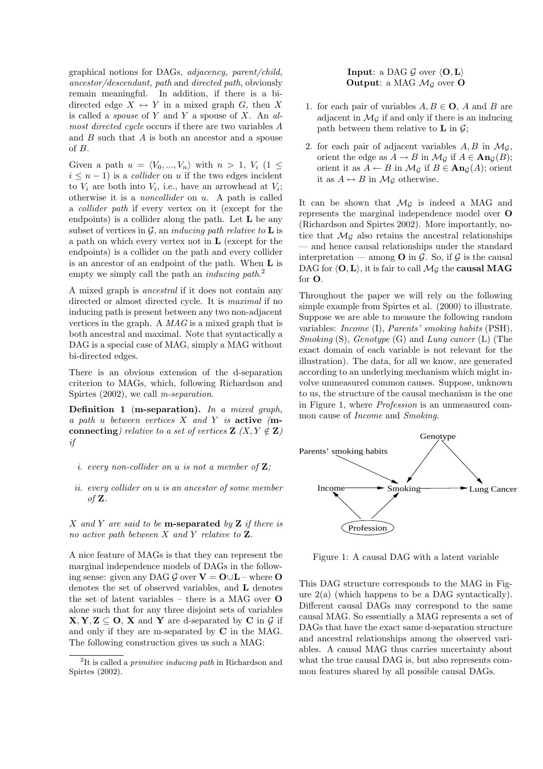graphical notions for DAGs, adjacency, parent/child, ancestor/descendant, path and directed path, obviously remain meaningful. In addition, if there is a bidirected edge  $X \leftrightarrow Y$  in a mixed graph G, then X is called a *spouse* of Y and Y a spouse of X. An  $al$ most directed cycle occurs if there are two variables A and B such that A is both an ancestor and a spouse of B.

Given a path  $u = \langle V_0, ..., V_n \rangle$  with  $n > 1, V_i$  (1  $\leq$  $i \leq n-1$ ) is a *collider* on u if the two edges incident to  $V_i$  are both into  $V_i$ , i.e., have an arrowhead at  $V_i$ ; otherwise it is a noncollider on u. A path is called a collider path if every vertex on it (except for the endpoints) is a collider along the path. Let  $L$  be any subset of vertices in  $\mathcal{G}$ , an *inducing path relative to* **L** is a path on which every vertex not in L (except for the endpoints) is a collider on the path and every collider is an ancestor of an endpoint of the path. When L is empty we simply call the path an *inducing path*.<sup>2</sup>

A mixed graph is ancestral if it does not contain any directed or almost directed cycle. It is maximal if no inducing path is present between any two non-adjacent vertices in the graph. A MAG is a mixed graph that is both ancestral and maximal. Note that syntactically a DAG is a special case of MAG, simply a MAG without bi-directed edges.

There is an obvious extension of the d-separation criterion to MAGs, which, following Richardson and Spirtes  $(2002)$ , we call *m-separation*.

**Definition 1** (**m-separation**). In a mixed graph, a path u between vertices  $X$  and  $Y$  is active (mconnecting) relative to a set of vertices  $\mathbf{Z}$   $(X, Y \notin \mathbf{Z})$ if

- i. every non-collider on  $u$  is not a member of  $Z$ :
- ii. every collider on u is an ancestor of some member of  $Z$ .

 $X$  and  $Y$  are said to be **m-separated** by  $Z$  if there is no active path between  $X$  and  $Y$  relative to  $Z$ .

A nice feature of MAGs is that they can represent the marginal independence models of DAGs in the following sense: given any DAG G over  $V = O \cup L$  – where O denotes the set of observed variables, and L denotes the set of latent variables – there is a MAG over O alone such that for any three disjoint sets of variables  $X, Y, Z \subseteq O$ , X and Y are d-separated by C in G if and only if they are m-separated by C in the MAG. The following construction gives us such a MAG:

### **Input:** a DAG  $\mathcal{G}$  over  $\langle 0, L \rangle$ **Output:** a MAG  $\mathcal{M}_G$  over **O**

- 1. for each pair of variables  $A, B \in \mathbf{O}$ , A and B are adjacent in  $\mathcal{M}_{G}$  if and only if there is an inducing path between them relative to **L** in  $\mathcal{G}$ ;
- 2. for each pair of adjacent variables  $A, B$  in  $\mathcal{M}_{\mathcal{G}}$ , orient the edge as  $A \to B$  in  $\mathcal{M}_{\mathcal{G}}$  if  $A \in \textbf{An}_{\mathcal{G}}(B)$ ; orient it as  $A \leftarrow B$  in  $\mathcal{M}_{\mathcal{G}}$  if  $B \in \text{An}_{\mathcal{G}}(A)$ ; orient it as  $A \leftrightarrow B$  in  $\mathcal{M}_{\mathcal{G}}$  otherwise.

It can be shown that  $\mathcal{M}_{\mathcal{G}}$  is indeed a MAG and represents the marginal independence model over O (Richardson and Spirtes 2002). More importantly, notice that  $\mathcal{M}_{\mathcal{G}}$  also retains the ancestral relationships — and hence causal relationships under the standard interpretation — among **O** in  $\mathcal{G}$ . So, if  $\mathcal{G}$  is the causal DAG for  $\langle 0, L \rangle$ , it is fair to call  $\mathcal{M}_{\mathcal{G}}$  the **causal MAG** for O.

Throughout the paper we will rely on the following simple example from Spirtes et al. (2000) to illustrate. Suppose we are able to measure the following random variables: Income (I), Parents' smoking habits (PSH), Smoking  $(S)$ , Genotype  $(G)$  and Lung cancer  $(L)$  (The exact domain of each variable is not relevant for the illustration). The data, for all we know, are generated according to an underlying mechanism which might involve unmeasured common causes. Suppose, unknown to us, the structure of the causal mechanism is the one in Figure 1, where Profession is an unmeasured common cause of Income and Smoking.



Figure 1: A causal DAG with a latent variable

This DAG structure corresponds to the MAG in Figure  $2(a)$  (which happens to be a DAG syntactically). Different causal DAGs may correspond to the same causal MAG. So essentially a MAG represents a set of DAGs that have the exact same d-separation structure and ancestral relationships among the observed variables. A causal MAG thus carries uncertainty about what the true causal DAG is, but also represents common features shared by all possible causal DAGs.

<sup>&</sup>lt;sup>2</sup>It is called a *primitive inducing path* in Richardson and Spirtes (2002).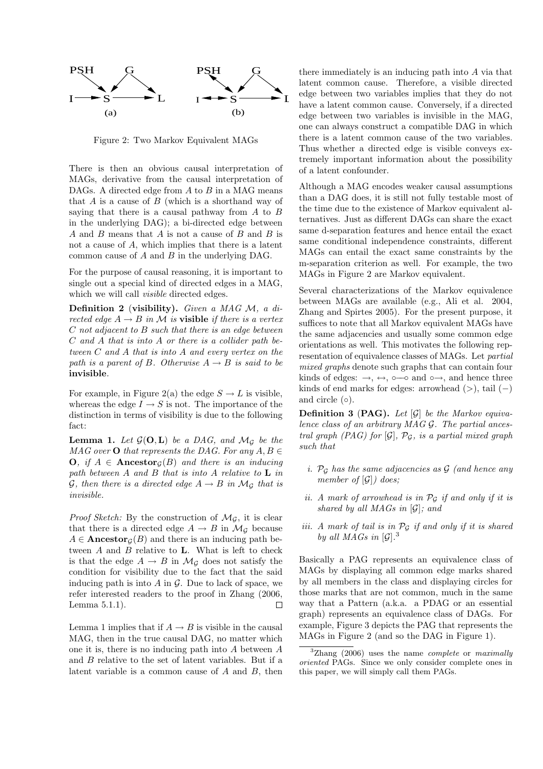

Figure 2: Two Markov Equivalent MAGs

There is then an obvious causal interpretation of MAGs, derivative from the causal interpretation of DAGs. A directed edge from  $A$  to  $B$  in a MAG means that  $A$  is a cause of  $B$  (which is a shorthand way of saying that there is a causal pathway from  $A$  to  $B$ in the underlying DAG); a bi-directed edge between  $A$  and  $B$  means that  $A$  is not a cause of  $B$  and  $B$  is not a cause of A, which implies that there is a latent common cause of A and B in the underlying DAG.

For the purpose of causal reasoning, it is important to single out a special kind of directed edges in a MAG, which we will call visible directed edges.

Definition 2 (visibility). Given a MAG  $\mathcal{M}$ , a directed edge  $A \rightarrow B$  in M is **visible** if there is a vertex C not adjacent to B such that there is an edge between C and A that is into A or there is a collider path between C and A that is into A and every vertex on the path is a parent of B. Otherwise  $A \rightarrow B$  is said to be invisible.

For example, in Figure 2(a) the edge  $S \to L$  is visible, whereas the edge  $I \rightarrow S$  is not. The importance of the distinction in terms of visibility is due to the following fact:

**Lemma 1.** Let  $\mathcal{G}(\mathbf{O}, \mathbf{L})$  be a DAG, and  $\mathcal{M}_{\mathcal{G}}$  be the MAG over **O** that represents the DAG. For any  $A, B \in$ **O**, if  $A \in \text{Ancestor}_G(B)$  and there is an inducing path between  $A$  and  $B$  that is into  $A$  relative to  $L$  in G, then there is a directed edge  $A \rightarrow B$  in  $\mathcal{M}_{\mathcal{G}}$  that is invisible.

*Proof Sketch:* By the construction of  $\mathcal{M}_{G}$ , it is clear that there is a directed edge  $A \rightarrow B$  in  $\mathcal{M}_{\mathcal{G}}$  because  $A \in \textbf{Ancestor}_{G}(B)$  and there is an inducing path between  $A$  and  $B$  relative to  $L$ . What is left to check is that the edge  $A \to B$  in  $\mathcal{M}_{\mathcal{G}}$  does not satisfy the condition for visibility due to the fact that the said inducing path is into  $A$  in  $G$ . Due to lack of space, we refer interested readers to the proof in Zhang (2006, Lemma 5.1.1). Г

Lemma 1 implies that if  $A \rightarrow B$  is visible in the causal MAG, then in the true causal DAG, no matter which one it is, there is no inducing path into A between A and B relative to the set of latent variables. But if a latent variable is a common cause of A and B, then there immediately is an inducing path into A via that latent common cause. Therefore, a visible directed edge between two variables implies that they do not have a latent common cause. Conversely, if a directed edge between two variables is invisible in the MAG, one can always construct a compatible DAG in which there is a latent common cause of the two variables. Thus whether a directed edge is visible conveys extremely important information about the possibility of a latent confounder.

Although a MAG encodes weaker causal assumptions than a DAG does, it is still not fully testable most of the time due to the existence of Markov equivalent alternatives. Just as different DAGs can share the exact same d-separation features and hence entail the exact same conditional independence constraints, different MAGs can entail the exact same constraints by the m-separation criterion as well. For example, the two MAGs in Figure 2 are Markov equivalent.

Several characterizations of the Markov equivalence between MAGs are available (e.g., Ali et al. 2004, Zhang and Spirtes 2005). For the present purpose, it suffices to note that all Markov equivalent MAGs have the same adjacencies and usually some common edge orientations as well. This motivates the following representation of equivalence classes of MAGs. Let partial mixed graphs denote such graphs that can contain four kinds of edges:  $\rightarrow$ ,  $\leftrightarrow$ ,  $\circ$   $\rightarrow$  and  $\circ \rightarrow$ , and hence three kinds of end marks for edges: arrowhead  $(>)$ , tail  $(-)$ and circle  $(○)$ .

**Definition 3 (PAG).** Let  $[\mathcal{G}]$  be the Markov equivalence class of an arbitrary  $MAGG$ . The partial ancestral graph (PAG) for  $[\mathcal{G}]$ ,  $\mathcal{P}_{\mathcal{G}}$ , is a partial mixed graph such that

- i.  $\mathcal{P}_{\mathcal{G}}$  has the same adjacencies as  $\mathcal{G}$  (and hence any member of  $[\mathcal{G}]$ ) does;
- ii. A mark of arrowhead is in  $\mathcal{P}_{\mathcal{G}}$  if and only if it is shared by all  $MAGs$  in  $[\mathcal{G}]$ ; and
- iii. A mark of tail is in  $\mathcal{P}_{\mathcal{G}}$  if and only if it is shared by all MAGs in  $[\mathcal{G}]$ .<sup>3</sup>

Basically a PAG represents an equivalence class of MAGs by displaying all common edge marks shared by all members in the class and displaying circles for those marks that are not common, much in the same way that a Pattern (a.k.a. a PDAG or an essential graph) represents an equivalence class of DAGs. For example, Figure 3 depicts the PAG that represents the MAGs in Figure 2 (and so the DAG in Figure 1).

 ${}^{3}$ Zhang (2006) uses the name *complete* or *maximally* oriented PAGs. Since we only consider complete ones in this paper, we will simply call them PAGs.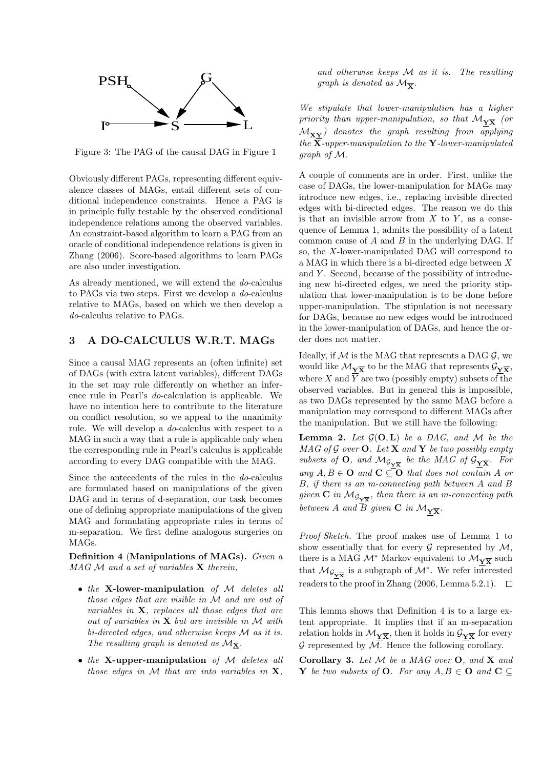

Figure 3: The PAG of the causal DAG in Figure 1

Obviously different PAGs, representing different equivalence classes of MAGs, entail different sets of conditional independence constraints. Hence a PAG is in principle fully testable by the observed conditional independence relations among the observed variables. An constraint-based algorithm to learn a PAG from an oracle of conditional independence relations is given in Zhang (2006). Score-based algorithms to learn PAGs are also under investigation.

As already mentioned, we will extend the do-calculus to PAGs via two steps. First we develop a do-calculus relative to MAGs, based on which we then develop a do-calculus relative to PAGs.

## 3 A DO-CALCULUS W.R.T. MAGs

Since a causal MAG represents an (often infinite) set of DAGs (with extra latent variables), different DAGs in the set may rule differently on whether an inference rule in Pearl's do-calculation is applicable. We have no intention here to contribute to the literature on conflict resolution, so we appeal to the unanimity rule. We will develop a do-calculus with respect to a MAG in such a way that a rule is applicable only when the corresponding rule in Pearl's calculus is applicable according to every DAG compatible with the MAG.

Since the antecedents of the rules in the do-calculus are formulated based on manipulations of the given DAG and in terms of d-separation, our task becomes one of defining appropriate manipulations of the given MAG and formulating appropriate rules in terms of m-separation. We first define analogous surgeries on MAGs.

Definition 4 (Manipulations of MAGs). Given a  $MAG \mathcal{M}$  and a set of variables  $X$  therein,

- $\bullet$  the X-lower-manipulation of  $M$  deletes all those edges that are visible in M and are out of variables in  $X$ , replaces all those edges that are out of variables in  $X$  but are invisible in  $M$  with bi-directed edges, and otherwise keeps M as it is. The resulting graph is denoted as  $M_{\mathbf{X}}$ .
- $\bullet$  the X-upper-manipulation of M deletes all those edges in  $\mathcal M$  that are into variables in  $\mathbf X$ ,

and otherwise keeps  $M$  as it is. The resulting graph is denoted as  $\mathcal{M}_{\overline{\mathbf{x}}}$ .

We stipulate that lower-manipulation has a higher priority than upper-manipulation, so that  $\mathcal{M}_{\mathbf{Y}\overline{\mathbf{X}}}$  (or  $\mathcal{M}_{\overline{X}Y}$  denotes the graph resulting from applying the  $\overline{\mathbf{X}}$ -upper-manipulation to the Y-lower-manipulated graph of M.

A couple of comments are in order. First, unlike the case of DAGs, the lower-manipulation for MAGs may introduce new edges, i.e., replacing invisible directed edges with bi-directed edges. The reason we do this is that an invisible arrow from  $X$  to  $Y$ , as a consequence of Lemma 1, admits the possibility of a latent common cause of  $A$  and  $B$  in the underlying DAG. If so, the X-lower-manipulated DAG will correspond to a MAG in which there is a bi-directed edge between X and  $Y$ . Second, because of the possibility of introducing new bi-directed edges, we need the priority stipulation that lower-manipulation is to be done before upper-manipulation. The stipulation is not necessary for DAGs, because no new edges would be introduced in the lower-manipulation of DAGs, and hence the order does not matter.

Ideally, if  $M$  is the MAG that represents a DAG  $\mathcal{G}$ , we would like  $\mathcal{M}_{Y\overline{X}}$  to be the MAG that represents  $\mathcal{G}_{Y\overline{X}}$ , where  $X$  and  $Y$  are two (possibly empty) subsets of the observed variables. But in general this is impossible, as two DAGs represented by the same MAG before a manipulation may correspond to different MAGs after the manipulation. But we still have the following:

**Lemma 2.** Let  $\mathcal{G}(\mathbf{O}, \mathbf{L})$  be a DAG, and M be the  $MAG$  of G over  $O$ . Let **X** and **Y** be two possibly empty subsets of  $\mathbf{O}$ , and  $\mathcal{M}_{\mathcal{G}_{\mathbf{Y}\overline{\mathbf{X}}}}$  be the MAG of  $\mathcal{G}_{\mathbf{Y}\overline{\mathbf{X}}}$ . For any  $A, B \in \mathbf{O}$  and  $\mathbf{C} \subseteq \mathbf{O}$  that does not contain A or B, if there is an m-connecting path between A and B given  $C$  in  $\mathcal{M}_{\mathcal{G}_{\mathbf{Y}\overline{\mathbf{X}}}}$ , then there is an m-connecting path between A and  $\overline{B}$  given  $\bf{C}$  in  $\mathcal{M}_{\bf{Y}\overline{\bf{X}}}$ .

Proof Sketch. The proof makes use of Lemma 1 to show essentially that for every  $\mathcal G$  represented by  $\mathcal M$ , there is a MAG  $\mathcal{M}^*$  Markov equivalent to  $\mathcal{M}_{\mathbf{Y}\overline{\mathbf{X}}}$  such that  $\mathcal{M}_{\mathcal{G}_{\mathbf{Y}\overline{\mathbf{X}}}}$  is a subgraph of  $\mathcal{M}^*$ . We refer interested readers to the proof in Zhang (2006, Lemma 5.2.1).  $\square$ 

This lemma shows that Definition 4 is to a large extent appropriate. It implies that if an m-separation relation holds in  $\mathcal{M}_{\mathbf{Y}\overline{\mathbf{X}}}$ , then it holds in  $\mathcal{G}_{\mathbf{Y}\overline{\mathbf{X}}}$  for every G represented by  $\overline{\mathcal{M}}$ . Hence the following corollary.

Corollary 3. Let M be a MAG over O, and X and Y be two subsets of O. For any  $A, B \in \mathbf{O}$  and  $\mathbf{C} \subseteq$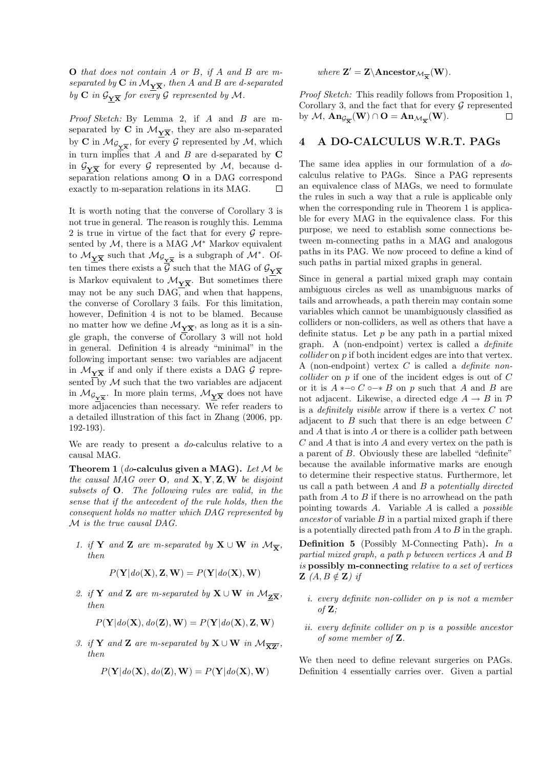O that does not contain A or B, if A and B are mseparated by  $C$  in  $\mathcal{M}_{\mathbf{Y}\overline{\mathbf{X}}}$ , then A and B are d-separated by C in  $\mathcal{G}_{\mathbf{Y}\overline{\mathbf{X}}}$  for every G represented by M.

Proof Sketch: By Lemma 2, if A and B are mseparated by C in  $\mathcal{M}_{\mathbf{Y}\overline{\mathbf{X}}}$ , they are also m-separated by C in  $\mathcal{M}_{\mathcal{G}_{\mathbf{Y}\overline{\mathbf{X}}}}$ , for every G represented by  $\mathcal{M}$ , which in turn implies that  $A$  and  $B$  are d-separated by  $C$ in  $\mathcal{G}_{\mathbf{Y}\overline{\mathbf{X}}}$  for every  $\mathcal G$  represented by  $\mathcal M$ , because dseparation relations among O in a DAG correspond exactly to m-separation relations in its MAG. г

It is worth noting that the converse of Corollary 3 is not true in general. The reason is roughly this. Lemma 2 is true in virtue of the fact that for every  $\mathcal G$  represented by  $M$ , there is a MAG  $\mathcal{M}^*$  Markov equivalent to  $\mathcal{M}_{\underline{Y}\overline{X}}$  such that  $\mathcal{M}_{\mathcal{G}_{\underline{Y}\overline{X}}}$  is a subgraph of  $\mathcal{M}^*$ . Often times there exists a  $\overline{\mathcal{G}}$  such that the MAG of  $\mathcal{G}_{\mathbf{Y}\overline{\mathbf{X}}}$ is Markov equivalent to  $\mathcal{M}_{\mathbf{Y}\overline{\mathbf{X}}}$ . But sometimes there may not be any such DAG, and when that happens, the converse of Corollary 3 fails. For this limitation, however, Definition 4 is not to be blamed. Because no matter how we define  $\mathcal{M}_{\mathbf{Y}\overline{\mathbf{X}}}$ , as long as it is a single graph, the converse of  $\overline{C}$ orollary 3 will not hold in general. Definition 4 is already "minimal" in the following important sense: two variables are adjacent in  $\mathcal{M}_{\mathbf{Y}\overline{\mathbf{X}}}$  if and only if there exists a DAG  $\mathcal G$  represented by  $M$  such that the two variables are adjacent in  $\mathcal{M}_{\mathcal{G}_{\mathbf{Y}\overline{\mathbf{X}}}}$ . In more plain terms,  $\mathcal{M}_{\underline{\mathbf{Y}}\overline{\mathbf{X}}}$  does not have more adjacencies than necessary. We refer readers to a detailed illustration of this fact in Zhang (2006, pp. 192-193).

We are ready to present a *do*-calculus relative to a causal MAG.

Theorem 1 (*do*-calculus given a MAG). Let  $\mathcal M$  be the causal MAG over  $O$ , and  $X, Y, Z, W$  be disjoint subsets of O. The following rules are valid, in the sense that if the antecedent of the rule holds, then the consequent holds no matter which DAG represented by M is the true causal DAG.

1. if Y and Z are m-separated by  $X \cup W$  in  $\mathcal{M}_{\overline{\mathbf{v}}}$ , then

$$
P(\mathbf{Y} | do(\mathbf{X}), \mathbf{Z}, \mathbf{W}) = P(\mathbf{Y} | do(\mathbf{X}), \mathbf{W})
$$

2. if Y and Z are m-separated by  $X \cup W$  in  $\mathcal{M}_{Z\overline{X}}$ , then

$$
P(\mathbf{Y} | do(\mathbf{X}), do(\mathbf{Z}), \mathbf{W}) = P(\mathbf{Y} | do(\mathbf{X}), \mathbf{Z}, \mathbf{W})
$$

3. if Y and Z are m-separated by  $X \cup W$  in  $\mathcal{M}_{\overline{XZ'}}$ , then

$$
P(\mathbf{Y} | do(\mathbf{X}), do(\mathbf{Z}), \mathbf{W}) = P(\mathbf{Y} | do(\mathbf{X}), \mathbf{W})
$$

# where  $\mathbf{Z}' = \mathbf{Z} \setminus \mathbf{Ancestor}_{\mathcal{M}_{\overline{\mathbf{X}}}}(\mathbf{W}).$

Proof Sketch: This readily follows from Proposition 1, Corollary 3, and the fact that for every  $\mathcal G$  represented by  $\mathcal{M}$ ,  $\mathbf{An}_{\mathcal{G}_{\overline{\mathbf{X}}}}(\mathbf{W}) \cap \mathbf{O} = \mathbf{An}_{\mathcal{M}_{\overline{\mathbf{X}}}}(\mathbf{W})$ . □

### 4 A DO-CALCULUS W.R.T. PAGs

The same idea applies in our formulation of a docalculus relative to PAGs. Since a PAG represents an equivalence class of MAGs, we need to formulate the rules in such a way that a rule is applicable only when the corresponding rule in Theorem 1 is applicable for every MAG in the equivalence class. For this purpose, we need to establish some connections between m-connecting paths in a MAG and analogous paths in its PAG. We now proceed to define a kind of such paths in partial mixed graphs in general.

Since in general a partial mixed graph may contain ambiguous circles as well as unambiguous marks of tails and arrowheads, a path therein may contain some variables which cannot be unambiguously classified as colliders or non-colliders, as well as others that have a definite status. Let  $p$  be any path in a partial mixed graph. A (non-endpoint) vertex is called a definite collider on p if both incident edges are into that vertex. A (non-endpoint) vertex  $C$  is called a *definite non*collider on p if one of the incident edges is out of C or it is  $A \leftarrow \circ C \circ \rightarrow B$  on p such that A and B are not adjacent. Likewise, a directed edge  $A \rightarrow B$  in  $\mathcal{P}$ is a *definitely visible* arrow if there is a vertex  $C$  not adjacent to  $B$  such that there is an edge between  $C$ and A that is into A or there is a collider path between  $C$  and  $A$  that is into  $A$  and every vertex on the path is a parent of B. Obviously these are labelled "definite" because the available informative marks are enough to determine their respective status. Furthermore, let us call a path between  $A$  and  $B$  a potentially directed path from  $A$  to  $B$  if there is no arrowhead on the path pointing towards  $A$ . Variable  $A$  is called a *possible* ancestor of variable  $B$  in a partial mixed graph if there is a potentially directed path from  $A$  to  $B$  in the graph.

**Definition 5** (Possibly M-Connecting Path). In a partial mixed graph, a path p between vertices A and B is possibly m-connecting relative to a set of vertices **Z**  $(A, B \notin \mathbb{Z})$  if

- i. every definite non-collider on p is not a member of  $\mathbf{Z}$ ;
- ii. every definite collider on p is a possible ancestor of some member of Z.

We then need to define relevant surgeries on PAGs. Definition 4 essentially carries over. Given a partial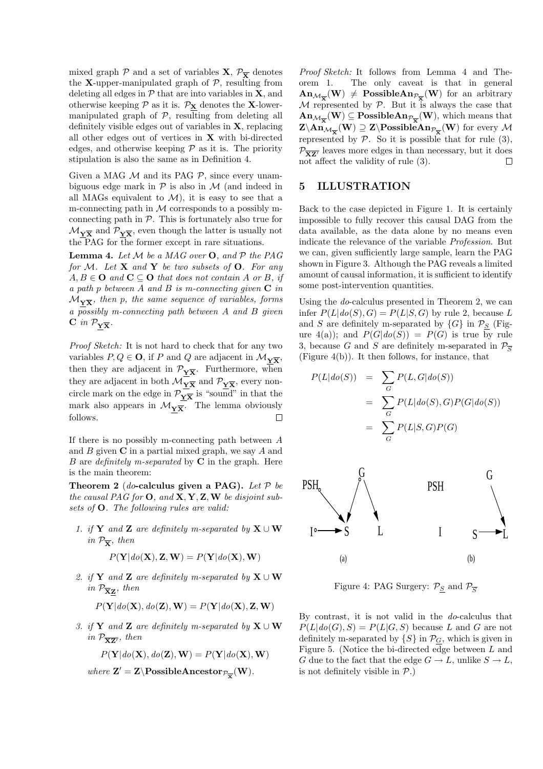mixed graph  $P$  and a set of variables  $X, \mathcal{P}_{\overline{X}}$  denotes the X-upper-manipulated graph of  $P$ , resulting from deleting all edges in  $P$  that are into variables in  $X$ , and otherwise keeping  $P$  as it is.  $P_X$  denotes the X-lowermanipulated graph of  $P$ , resulting from deleting all definitely visible edges out of variables in X, replacing all other edges out of vertices in  $X$  with bi-directed edges, and otherwise keeping  $P$  as it is. The priority stipulation is also the same as in Definition 4.

Given a MAG  $M$  and its PAG  $P$ , since every unambiguous edge mark in  $\mathcal P$  is also in  $\mathcal M$  (and indeed in all MAGs equivalent to  $\mathcal{M}$ ), it is easy to see that a m-connecting path in  $M$  corresponds to a possibly mconnecting path in  $P$ . This is fortunately also true for  $\mathcal{M}_{\mathbf{Y}\overline{\mathbf{X}}}$  and  $\mathcal{P}_{\mathbf{Y}\overline{\mathbf{X}}}$ , even though the latter is usually not the PAG for  $\overline{t}$  he former except in rare situations.

**Lemma 4.** Let  $M$  be a MAG over **O**, and  $P$  the PAG for M. Let  $X$  and  $Y$  be two subsets of  $O$ . For any  $A, B \in \mathbf{O}$  and  $\mathbf{C} \subseteq \mathbf{O}$  that does not contain A or B, if a path p between A and B is m-connecting given  $C$  in  $\mathcal{M}_{\mathbf{Y}\overline{\mathbf{X}}}$ , then p, the same sequence of variables, forms a possibly m-connecting path between A and B given  $C$  in  $\mathcal{P}_{Y\overline{X}}$ .

Proof Sketch: It is not hard to check that for any two variables  $P, Q \in \mathbf{O}$ , if P and Q are adjacent in  $\mathcal{M}_{\mathbf{Y}\overline{\mathbf{X}}}$ , then they are adjacent in  $\mathcal{P}_{\mathbf{Y}\overline{\mathbf{X}}}$ . Furthermore, when they are adjacent in both  $\mathcal{M}_{\mathbf{Y}\overline{\mathbf{X}}}$  and  $\mathcal{P}_{\mathbf{Y}\overline{\mathbf{X}}}$ , every noncircle mark on the edge in  $\mathcal{P}_{\underline{\mathbf{y}}\overline{\mathbf{x}}}$  is "sound" in that the mark also appears in  $\mathcal{M}_{\mathbf{Y}\overline{\mathbf{X}}}.$  The lemma obviously follows.  $\Box$ 

If there is no possibly m-connecting path between A and  $B$  given  $C$  in a partial mixed graph, we say  $A$  and B are definitely m-separated by  $C$  in the graph. Here is the main theorem:

Theorem 2 (do-calculus given a PAG). Let  $P$  be the causal PAG for  $O$ , and  $X, Y, Z, W$  be disjoint subsets of O. The following rules are valid:

1. if Y and Z are definitely m-separated by  $X \cup W$ in  $\mathcal{P}_{\overline{\mathbf{x}}}$ , then

$$
P(\mathbf{Y} | do(\mathbf{X}), \mathbf{Z}, \mathbf{W}) = P(\mathbf{Y} | do(\mathbf{X}), \mathbf{W})
$$

2. if Y and Z are definitely m-separated by  $X \cup W$ in  $\mathcal{P}_{\overline{\mathbf{X}}\mathbf{Z}}$ , then

$$
P(\mathbf{Y} | do(\mathbf{X}), do(\mathbf{Z}), \mathbf{W}) = P(\mathbf{Y} | do(\mathbf{X}), \mathbf{Z}, \mathbf{W})
$$

3. if Y and Z are definitely m-separated by  $X \cup W$ in  $\mathcal{P}_{\overline{\mathbf{XZ}'}}$ , then

$$
P(\mathbf{Y}|do(\mathbf{X}), do(\mathbf{Z}), \mathbf{W}) = P(\mathbf{Y}|do(\mathbf{X}), \mathbf{W})
$$

where  $\mathbf{Z}' = \mathbf{Z} \setminus \mathbf{PossibleAncestor}_{\mathcal{P}_{\overline{\mathbf{X}}}}(\mathbf{W}).$ 

Proof Sketch: It follows from Lemma 4 and Theorem 1. The only caveat is that in general  $\text{An}_{\mathcal{M}_{\overline{\mathbf{X}}}}(\mathbf{W}) \neq \text{PossibleAn}_{\mathcal{P}_{\overline{\mathbf{X}}}}(\mathbf{W})$  for an arbitrary  $M$  represented by  $P$ . But it is always the case that  $\text{An}_{\mathcal{M}_{\overline{\mathbf{X}}}}(\mathbf{W}) \subseteq \text{PossibleAn}_{\mathcal{P}_{\overline{\mathbf{X}}}}(\mathbf{W})$ , which means that  $\text{Z}\backslash \text{An}_{\mathcal{M}_{\overline{\mathbf{X}}}}(\mathbf{W}) \supseteq \text{Z}\backslash \text{PossibleAn}_{\mathcal{P}_{\overline{\mathbf{X}}}}(\mathbf{W})$  for every  $\mathcal M$ represented by  $P$ . So it is possible that for rule  $(3)$ ,  $\mathcal{P}_{\overline{\mathbf{XZ'}}}$  leaves more edges in than necessary, but it does not affect the validity of rule (3). not affect the validity of rule (3).

### 5 ILLUSTRATION

Back to the case depicted in Figure 1. It is certainly impossible to fully recover this causal DAG from the data available, as the data alone by no means even indicate the relevance of the variable Profession. But we can, given sufficiently large sample, learn the PAG shown in Figure 3. Although the PAG reveals a limited amount of causal information, it is sufficient to identify some post-intervention quantities.

Using the do-calculus presented in Theorem 2, we can infer  $P(L|do(S), G) = P(L|S, G)$  by rule 2, because L and S are definitely m-separated by  $\{G\}$  in  $\mathcal{P}_S$  (Figure  $4(a)$ ; and  $P(G|do(S)) = P(G)$  is true by rule 3, because G and S are definitely m-separated in  $\mathcal{P}_{\overline{S}}$ (Figure 4(b)). It then follows, for instance, that

$$
P(L|do(S)) = \sum_{G} P(L, G|do(S))
$$
  
= 
$$
\sum_{G} P(L|do(S), G)P(G|do(S))
$$
  
= 
$$
\sum_{G} P(L|S, G)P(G)
$$



Figure 4: PAG Surgery:  $P_S$  and  $P_{\overline{S}}$ 

By contrast, it is not valid in the do-calculus that  $P(L|do(G), S) = P(L|G, S)$  because L and G are not definitely m-separated by  $\{S\}$  in  $\mathcal{P}_G$ , which is given in Figure 5. (Notice the bi-directed edge between  $L$  and G due to the fact that the edge  $G \to L$ , unlike  $S \to L$ , is not definitely visible in  $P$ .)